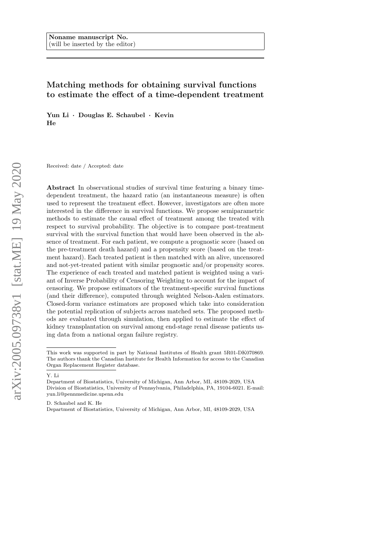# Matching methods for obtaining survival functions to estimate the effect of a time-dependent treatment

Yun Li · Douglas E. Schaubel · Kevin He

Received: date / Accepted: date

Abstract In observational studies of survival time featuring a binary timedependent treatment, the hazard ratio (an instantaneous measure) is often used to represent the treatment effect. However, investigators are often more interested in the difference in survival functions. We propose semiparametric methods to estimate the causal effect of treatment among the treated with respect to survival probability. The objective is to compare post-treatment survival with the survival function that would have been observed in the absence of treatment. For each patient, we compute a prognostic score (based on the pre-treatment death hazard) and a propensity score (based on the treatment hazard). Each treated patient is then matched with an alive, uncensored and not-yet-treated patient with similar prognostic and/or propensity scores. The experience of each treated and matched patient is weighted using a variant of Inverse Probability of Censoring Weighting to account for the impact of censoring. We propose estimators of the treatment-specific survival functions (and their difference), computed through weighted Nelson-Aalen estimators. Closed-form variance estimators are proposed which take into consideration the potential replication of subjects across matched sets. The proposed methods are evaluated through simulation, then applied to estimate the effect of kidney transplantation on survival among end-stage renal disease patients using data from a national organ failure registry.

Y. Li

D. Schaubel and K. He

Department of Biostatistics, University of Michigan, Ann Arbor, MI, 48109-2029, USA

This work was supported in part by National Institutes of Health grant 5R01-DK070869. The authors thank the Canadian Institute for Health Information for access to the Canadian Organ Replacement Register database.

Department of Biostatistics, University of Michigan, Ann Arbor, MI, 48109-2029, USA Division of Biostatistics, University of Pennsylvania, Philadelphia, PA, 19104-6021. E-mail: yun.li@pennmedicine.upenn.edu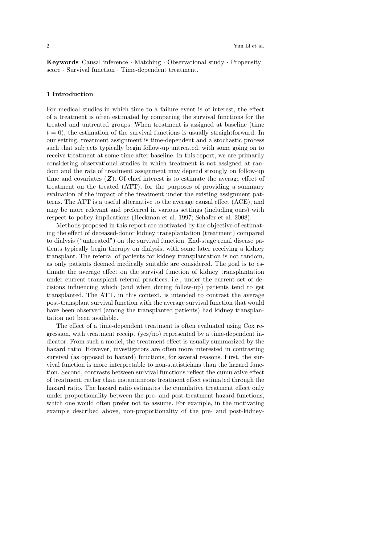Keywords Causal inference · Matching · Observational study · Propensity score · Survival function · Time-dependent treatment.

## 1 Introduction

For medical studies in which time to a failure event is of interest, the effect of a treatment is often estimated by comparing the survival functions for the treated and untreated groups. When treatment is assigned at baseline (time  $t = 0$ , the estimation of the survival functions is usually straightforward. In our setting, treatment assignment is time-dependent and a stochastic process such that subjects typically begin follow-up untreated, with some going on to receive treatment at some time after baseline. In this report, we are primarily considering observational studies in which treatment is not assigned at random and the rate of treatment assignment may depend strongly on follow-up time and covariates  $(Z)$ . Of chief interest is to estimate the average effect of treatment on the treated (ATT), for the purposes of providing a summary evaluation of the impact of the treatment under the existing assignment patterns. The ATT is a useful alternative to the average causal effect (ACE), and may be more relevant and preferred in various settings (including ours) with respect to policy implications (Heckman et al. 1997; Schafer et al. 2008).

Methods proposed in this report are motivated by the objective of estimating the effect of deceased-donor kidney transplantation (treatment) compared to dialysis ("untreated") on the survival function. End-stage renal disease patients typically begin therapy on dialysis, with some later receiving a kidney transplant. The referral of patients for kidney transplantation is not random, as only patients deemed medically suitable are considered. The goal is to estimate the average effect on the survival function of kidney transplantation under current transplant referral practices; i.e., under the current set of decisions influencing which (and when during follow-up) patients tend to get transplanted. The ATT, in this context, is intended to contrast the average post-transplant survival function with the average survival function that would have been observed (among the transplanted patients) had kidney transplantation not been available.

The effect of a time-dependent treatment is often evaluated using Cox regression, with treatment receipt (yes/no) represented by a time-dependent indicator. From such a model, the treatment effect is usually summarized by the hazard ratio. However, investigators are often more interested in contrasting survival (as opposed to hazard) functions, for several reasons. First, the survival function is more interpretable to non-statisticians than the hazard function. Second, contrasts between survival functions reflect the cumulative effect of treatment, rather than instantaneous treatment effect estimated through the hazard ratio. The hazard ratio estimates the cumulative treatment effect only under proportionality between the pre- and post-treatment hazard functions, which one would often prefer not to assume. For example, in the motivating example described above, non-proportionality of the pre- and post-kidney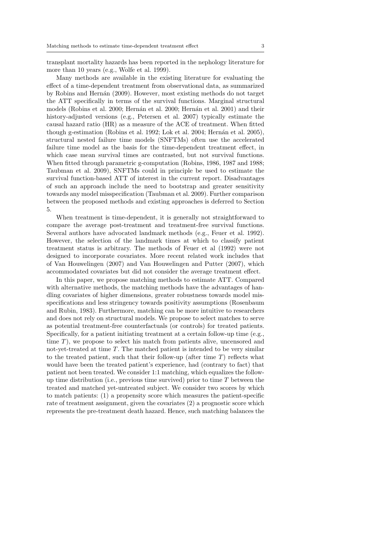transplant mortality hazards has been reported in the nephology literature for more than 10 years (e.g., Wolfe et al. 1999).

Many methods are available in the existing literature for evaluating the effect of a time-dependent treatment from observational data, as summarized by Robins and Hern´an (2009). However, most existing methods do not target the ATT specifically in terms of the survival functions. Marginal structural models (Robins et al. 2000; Hernán et al. 2000; Hernán et al. 2001) and their history-adjusted versions (e.g., Petersen et al. 2007) typically estimate the causal hazard ratio (HR) as a measure of the ACE of treatment. When fitted though g-estimation (Robins et al. 1992; Lok et al. 2004; Hernán et al. 2005), structural nested failure time models (SNFTMs) often use the accelerated failure time model as the basis for the time-dependent treatment effect, in which case mean survival times are contrasted, but not survival functions. When fitted through parametric g-computation (Robins, 1986, 1987 and 1988; Taubman et al. 2009), SNFTMs could in principle be used to estimate the survival function-based ATT of interest in the current report. Disadvantages of such an approach include the need to bootstrap and greater sensitivity towards any model misspecification (Taubman et al. 2009). Further comparison between the proposed methods and existing approaches is deferred to Section 5.

When treatment is time-dependent, it is generally not straightforward to compare the average post-treatment and treatment-free survival functions. Several authors have advocated landmark methods (e.g., Feuer et al. 1992). However, the selection of the landmark times at which to classify patient treatment status is arbitrary. The methods of Feuer et al (1992) were not designed to incorporate covariates. More recent related work includes that of Van Houwelingen (2007) and Van Houwelingen and Putter (2007), which accommodated covariates but did not consider the average treatment effect.

In this paper, we propose matching methods to estimate ATT. Compared with alternative methods, the matching methods have the advantages of handling covariates of higher dimensions, greater robustness towards model misspecifications and less stringency towards positivity assumptions (Rosenbaum and Rubin, 1983). Furthermore, matching can be more intuitive to researchers and does not rely on structural models. We propose to select matches to serve as potential treatment-free counterfactuals (or controls) for treated patients. Specifically, for a patient initiating treatment at a certain follow-up time (e.g., time T), we propose to select his match from patients alive, uncensored and not-yet-treated at time T. The matched patient is intended to be very similar to the treated patient, such that their follow-up (after time  $T$ ) reflects what would have been the treated patient's experience, had (contrary to fact) that patient not been treated. We consider 1:1 matching, which equalizes the followup time distribution (i.e., previous time survived) prior to time  $T$  between the treated and matched yet-untreated subject. We consider two scores by which to match patients: (1) a propensity score which measures the patient-specific rate of treatment assignment, given the covariates (2) a prognostic score which represents the pre-treatment death hazard. Hence, such matching balances the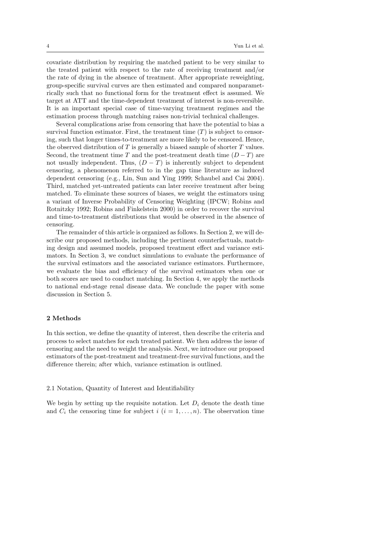covariate distribution by requiring the matched patient to be very similar to the treated patient with respect to the rate of receiving treatment and/or the rate of dying in the absence of treatment. After appropriate reweighting, group-specific survival curves are then estimated and compared nonparametrically such that no functional form for the treatment effect is assumed. We target at ATT and the time-dependent treatment of interest is non-reversible. It is an important special case of time-varying treatment regimes and the estimation process through matching raises non-trivial technical challenges.

Several complications arise from censoring that have the potential to bias a survival function estimator. First, the treatment time  $(T)$  is subject to censoring, such that longer times-to-treatment are more likely to be censored. Hence, the observed distribution of  $T$  is generally a biased sample of shorter  $T$  values. Second, the treatment time T and the post-treatment death time  $(D-T)$  are not usually independent. Thus,  $(D - T)$  is inherently subject to dependent censoring, a phenomenon referred to in the gap time literature as induced dependent censoring (e.g., Lin, Sun and Ying 1999; Schaubel and Cai 2004). Third, matched yet-untreated patients can later receive treatment after being matched. To eliminate these sources of biases, we weight the estimators using a variant of Inverse Probability of Censoring Weighting (IPCW; Robins and Rotnitzky 1992; Robins and Finkelstein 2000) in order to recover the survival and time-to-treatment distributions that would be observed in the absence of censoring.

The remainder of this article is organized as follows. In Section 2, we will describe our proposed methods, including the pertinent counterfactuals, matching design and assumed models, proposed treatment effect and variance estimators. In Section 3, we conduct simulations to evaluate the performance of the survival estimators and the associated variance estimators. Furthermore, we evaluate the bias and efficiency of the survival estimators when one or both scores are used to conduct matching. In Section 4, we apply the methods to national end-stage renal disease data. We conclude the paper with some discussion in Section 5.

## 2 Methods

In this section, we define the quantity of interest, then describe the criteria and process to select matches for each treated patient. We then address the issue of censoring and the need to weight the analysis. Next, we introduce our proposed estimators of the post-treatment and treatment-free survival functions, and the difference therein; after which, variance estimation is outlined.

#### 2.1 Notation, Quantity of Interest and Identifiability

We begin by setting up the requisite notation. Let  $D_i$  denote the death time and  $C_i$  the censoring time for subject i  $(i = 1, \ldots, n)$ . The observation time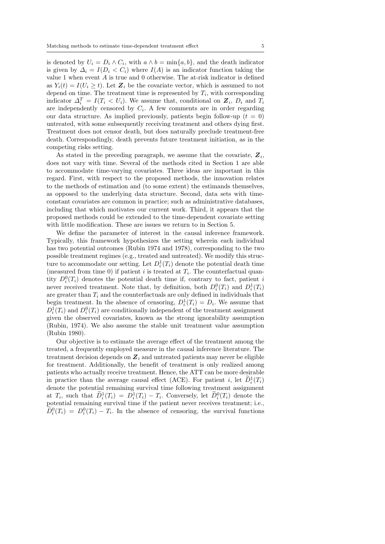is denoted by  $U_i = D_i \wedge C_i$ , with  $a \wedge b = \min\{a, b\}$ , and the death indicator is given by  $\Delta_i = I(D_i < C_i)$  where  $I(A)$  is an indicator function taking the value 1 when event A is true and 0 otherwise. The at-risk indicator is defined as  $Y_i(t) = I(U_i \geq t)$ . Let  $\mathbf{Z}_i$  be the covariate vector, which is assumed to not depend on time. The treatment time is represented by  $T_i$ , with corresponding indicator  $\Delta_i^T = I(T_i \lt U_i)$ . We assume that, conditional on  $\mathbf{Z}_i$ ,  $D_i$  and  $T_i$ are independently censored by  $C_i$ . A few comments are in order regarding our data structure. As implied previously, patients begin follow-up  $(t = 0)$ untreated, with some subsequently receiving treatment and others dying first. Treatment does not censor death, but does naturally preclude treatment-free death. Correspondingly, death prevents future treatment initiation, as in the competing risks setting.

As stated in the preceding paragraph, we assume that the covariate,  $\mathbf{Z}_i$ , does not vary with time. Several of the methods cited in Section 1 are able to accommodate time-varying covariates. Three ideas are important in this regard. First, with respect to the proposed methods, the innovation relates to the methods of estimation and (to some extent) the estimands themselves, as opposed to the underlying data structure. Second, data sets with timeconstant covariates are common in practice; such as administrative databases, including that which motivates our current work. Third, it appears that the proposed methods could be extended to the time-dependent covariate setting with little modification. These are issues we return to in Section 5.

We define the parameter of interest in the causal inference framework. Typically, this framework hypothesizes the setting wherein each individual has two potential outcomes (Rubin 1974 and 1978), corresponding to the two possible treatment regimes (e.g., treated and untreated). We modify this structure to accommodate our setting. Let  $D_i^1(T_i)$  denote the potential death time (measured from time 0) if patient i is treated at  $T_i$ . The counterfactual quantity  $D_i^0(T_i)$  denotes the potential death time if, contrary to fact, patient i never received treatment. Note that, by definition, both  $D_i^0(T_i)$  and  $D_i^1(T_i)$ are greater than  $T_i$  and the counterfactuals are only defined in individuals that begin treatment. In the absence of censoring,  $D_i^1(T_i) = D_i$ . We assume that  $D_i^1(T_i)$  and  $D_i^0(T_i)$  are conditionally independent of the treatment assignment given the observed covariates, known as the strong ignorability assumption (Rubin, 1974). We also assume the stable unit treatment value assumption (Rubin 1980).

Our objective is to estimate the average effect of the treatment among the treated, a frequently employed measure in the causal inference literature. The treatment decision depends on  $\mathbf{Z}_i$  and untreated patients may never be eligible for treatment. Additionally, the benefit of treatment is only realized among patients who actually receive treatment. Hence, the ATT can be more desirable in practice than the average causal effect (ACE). For patient i, let  $D_i^1(T_i)$ denote the potential remaining survival time following treatment assignment at  $T_i$ , such that  $\tilde{D}_i^1(T_i) = D_i^1(T_i) - T_i$ . Conversely, let  $\tilde{D}_i^0(T_i)$  denote the potential remaining survival time if the patient never receives treatment; i.e.,  $\tilde{D}_i^0(T_i) = D_i^0(T_i) - T_i$ . In the absence of censoring, the survival functions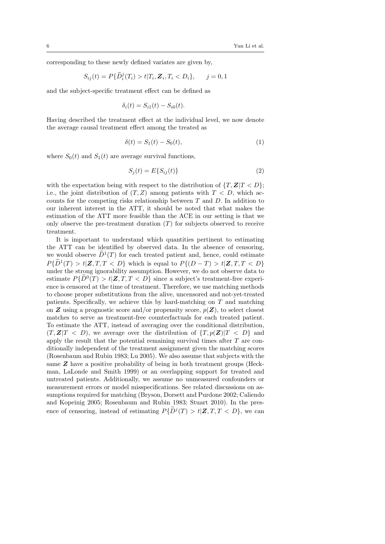corresponding to these newly defined variates are given by,

<span id="page-5-1"></span>
$$
S_{ij}(t) = P\{\widetilde{D}_i^j(T_i) > t | T_i, \mathbf{Z}_i, T_i < D_i\}, \qquad j = 0, 1
$$

and the subject-specific treatment effect can be defined as

$$
\delta_i(t) = S_{i1}(t) - S_{i0}(t).
$$

Having described the treatment effect at the individual level, we now denote the average causal treatment effect among the treated as

$$
\delta(t) = S_1(t) - S_0(t),
$$
\n(1)

where  $S_0(t)$  and  $S_1(t)$  are average survival functions,

<span id="page-5-0"></span>
$$
S_j(t) = E\{S_{ij}(t)\}\tag{2}
$$

with the expectation being with respect to the distribution of  $\{T, \mathbf{Z}|T < D\};$ i.e., the joint distribution of  $(T, Z)$  among patients with  $T < D$ , which accounts for the competing risks relationship between  $T$  and  $D$ . In addition to our inherent interest in the ATT, it should be noted that what makes the estimation of the ATT more feasible than the ACE in our setting is that we only observe the pre-treatment duration  $(T)$  for subjects observed to receive treatment.

It is important to understand which quantities pertinent to estimating the ATT can be identified by observed data. In the absence of censoring, we would observe  $\overline{D}^1(T)$  for each treated patient and, hence, could estimate  $P{\{\tilde{D}^1(T) > t | \mathbf{Z}, T, T < D\}}$  which is equal to  $P{(D-T) > t | \mathbf{Z}, T, T < D}$ under the strong ignorability assumption. However, we do not observe data to estimate  $P\{D^0(T) > t | \mathbf{Z}, T, T < D\}$  since a subject's treatment-free experience is censored at the time of treatment. Therefore, we use matching methods to choose proper substitutions from the alive, uncensored and not-yet-treated patients. Specifically, we achieve this by hard-matching on T and matching on **Z** using a prognostic score and/or propensity score,  $p(Z)$ , to select closest matches to serve as treatment-free counterfactuals for each treated patient. To estimate the ATT, instead of averaging over the conditional distribution,  $(T, \mathbf{Z}|T \leq D)$ , we average over the distribution of  $\{T, p(\mathbf{Z})|T \leq D\}$  and apply the result that the potential remaining survival times after  $T$  are conditionally independent of the treatment assignment given the matching scores (Rosenbaum and Rubin 1983; Lu 2005). We also assume that subjects with the same Z have a positive probability of being in both treatment groups (Heckman, LaLonde and Smith 1999) or an overlapping support for treated and untreated patients. Additionally, we assume no unmeasured confounders or measurement errors or model misspecifications. See related discussions on assumptions required for matching (Bryson, Dorsett and Purdone 2002; Caliendo and Kopeinig 2005; Rosenbaum and Rubin 1983; Stuart 2010). In the presence of censoring, instead of estimating  $P\{\tilde{D}^j(T) > t | \mathbf{Z}, T, T \langle D \rangle\}$ , we can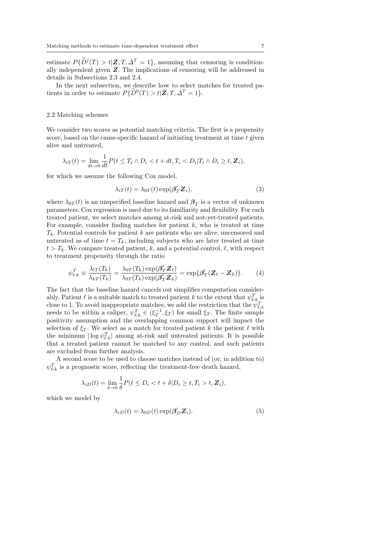estimate  $P\{D^j(T) > t | \mathbf{Z}, T, \Delta^T = 1\}$ , assuming that censoring is conditionally independent given Z. The implications of censoring will be addressed in details in Subsections 2.3 and 2.4.

In the next subsection, we describe how to select matches for treated patients in order to estimate  $P\{\widetilde{D}^0(T) > t | \mathbf{Z}, T, \Delta^T = 1\}.$ 

#### 2.2 Matching schemes

We consider two scores as potential matching criteria. The first is a propensity score, based on the cause-specific hazard of initiating treatment at time  $t$  given alive and untreated,

$$
\lambda_{iT}(t) = \lim_{dt \to 0} \frac{1}{dt} P(t \leq T_i \wedge D_i < t + dt, T_i < D_i | T_i \wedge D_i \geq t, \mathbf{Z}_i),
$$

for which we assume the following Cox model,

$$
\lambda_{iT}(t) = \lambda_{0T}(t) \exp(\beta'_T \mathbf{Z}_i), \tag{3}
$$

where  $\lambda_{0T}(t)$  is an unspecified baseline hazard and  $\beta_T$  is a vector of unknown parameters. Cox regression is used due to its familiarity and flexibility. For each treated patient, we select matches among at-risk and not-yet-treated patients. For example, consider finding matches for patient  $k$ , who is treated at time  $T_k$ . Potential controls for patient k are patients who are alive, uncensored and untreated as of time  $t = T_k$ , including subjects who are later treated at time  $t > T_k$ . We compare treated patient, k, and a potential control,  $\ell$ , with respect to treatment propensity through the ratio

$$
\psi_{\ell:k}^T \equiv \frac{\lambda_{lT}(T_k)}{\lambda_{kT}(T_k)} = \frac{\lambda_{0T}(T_k) \exp(\beta'_T \mathbf{Z}_\ell)}{\lambda_{0T}(T_k) \exp(\beta'_T \mathbf{Z}_k)} = \exp\{\beta'_T(\mathbf{Z}_\ell - \mathbf{Z}_k)\}.
$$
 (4)

The fact that the baseline hazard cancels out simplifies computation considerably. Patient  $\ell$  is a suitable match to treated patient k to the extent that  $\psi_{\ell:k}^T$  is close to 1. To avoid inappropriate matches, we add the restriction that the  $\psi_{\ell:k}^T$  needs to be within a caliper,  $\psi_{\ell:k}^T \in (\xi_T^{-1}, \xi_T)$  for small  $\xi_T$ . The finite sample positivity assumption and the overlapping common support will impact the selection of  $\xi_T$ . We select as a match for treated patient k the patient  $\ell$  with the minimum  $|\log \psi_{\ell,k}^T|$  among at-risk and untreated patients. It is possible that a treated patient cannot be matched to any control, and such patients are excluded from further analysis.

A second score to be used to choose matches instead of (or, in addition to)  $\psi_{\ell:k}^T$  is a prognostic score, reflecting the treatment-free death hazard,

$$
\lambda_{iD}(t) = \lim_{\delta \to 0} \frac{1}{\delta} P(t \le D_i < t + \delta | D_i \ge t, T_i > t, \mathbf{Z}_i),
$$

which we model by

$$
\lambda_{iD}(t) = \lambda_{0D}(t) \exp(\beta'_D \mathbf{Z}_i). \tag{5}
$$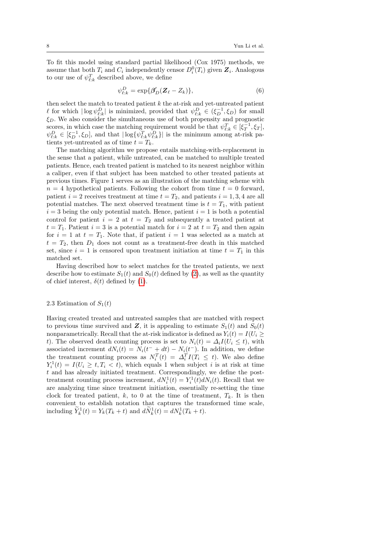To fit this model using standard partial likelihood (Cox 1975) methods, we assume that both  $T_i$  and  $C_i$  independently censor  $D_i^0(T_i)$  given  $\mathbf{Z}_i$ . Analogous to our use of  $\psi_{\ell:k}^T$  described above, we define

$$
\psi_{\ell:k}^D = \exp\{\beta'_D(\mathbf{Z}_{\ell} - Z_k)\},\tag{6}
$$

then select the match to treated patient  $k$  the at-risk and yet-untreated patient  $\ell$  for which  $|\log \psi_{\ell,k}^D|$  is minimized, provided that  $\psi_{\ell,k}^D \in (\xi_D^{-1}, \xi_D)$  for small  $\xi_D$ . We also consider the simultaneous use of both propensity and prognostic scores, in which case the matching requirement would be that  $\psi_{\ell:k}^T \in [\xi_T^{-1}, \xi_T]$ ,  $\psi_{\ell;k}^D \in [\xi_D^{-1}, \xi_D]$ , and that  $|\log{\{\psi_{\ell;k}^T \psi_{\ell;k}^D\}}|$  is the minimum among at-risk patients yet-untreated as of time  $t = T_k$ .

The matching algorithm we propose entails matching-with-replacement in the sense that a patient, while untreated, can be matched to multiple treated patients. Hence, each treated patient is matched to its nearest neighbor within a caliper, even if that subject has been matched to other treated patients at previous times. Figure 1 serves as an illustration of the matching scheme with  $n = 4$  hypothetical patients. Following the cohort from time  $t = 0$  forward, patient  $i = 2$  receives treatment at time  $t = T_2$ , and patients  $i = 1, 3, 4$  are all potential matches. The next observed treatment time is  $t = T_1$ , with patient  $i = 3$  being the only potential match. Hence, patient  $i = 1$  is both a potential control for patient  $i = 2$  at  $t = T_2$  and subsequently a treated patient at  $t = T_1$ . Patient  $i = 3$  is a potential match for  $i = 2$  at  $t = T_2$  and then again for  $i = 1$  at  $t = T_1$ . Note that, if patient  $i = 1$  was selected as a match at  $t = T_2$ , then  $D_1$  does not count as a treatment-free death in this matched set, since  $i = 1$  is censored upon treatment initiation at time  $t = T_1$  in this matched set.

Having described how to select matches for the treated patients, we next describe how to estimate  $S_1(t)$  and  $S_0(t)$  defined by [\(2\)](#page-5-0), as well as the quantity of chief interest,  $\delta(t)$  defined by [\(1\)](#page-5-1).

## 2.3 Estimation of  $S_1(t)$

Having created treated and untreated samples that are matched with respect to previous time survived and Z, it is appealing to estimate  $S_1(t)$  and  $S_0(t)$ nonparametrically. Recall that the at-risk indicator is defined as  $Y_i(t) = I(U_i \geq$ t). The observed death counting process is set to  $N_i(t) = \Delta_i I(U_i \leq t)$ , with associated increment  $dN_i(t) = N_i(t^- + dt) - N_i(t^-)$ . In addition, we define the treatment counting process as  $N_i^T(t) = \Delta_i^T I(T_i \leq t)$ . We also define  $Y_i^1(t) = I(U_i \geq t, T_i < t)$ , which equals 1 when subject i is at risk at time t and has already initiated treatment. Correspondingly, we define the posttreatment counting process increment,  $dN_i^1(t) = Y_i^1(t)dN_i(t)$ . Recall that we are analyzing time since treatment initiation, essentially re-setting the time clock for treated patient, k, to 0 at the time of treatment,  $T_k$ . It is then convenient to establish notation that captures the transformed time scale, including  $\widetilde{Y}_k^1(t) = Y_k(T_k + t)$  and  $d\widetilde{N}_k^1(t) = dN_k^1(T_k + t)$ .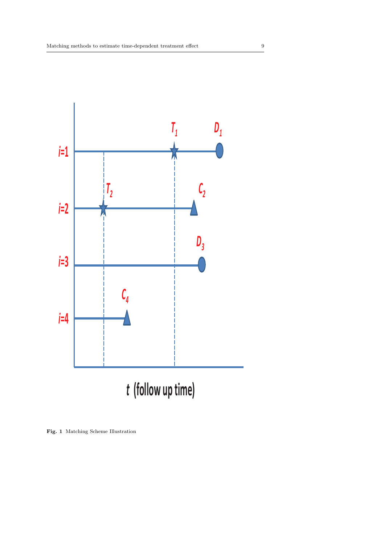

Fig. 1 Matching Scheme Illustration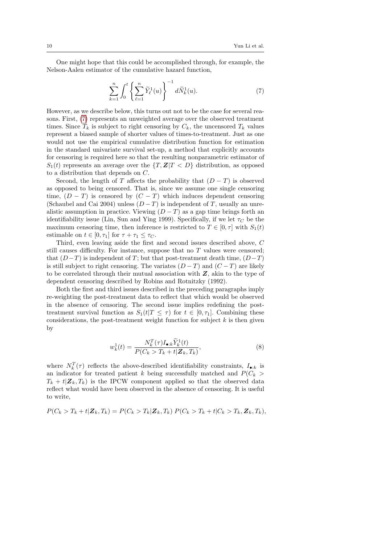One might hope that this could be accomplished through, for example, the Nelson-Aalen estimator of the cumulative hazard function,

<span id="page-9-0"></span>
$$
\sum_{k=1}^{n} \int_{0}^{t} \left\{ \sum_{\ell=1}^{n} \widetilde{Y}_{\ell}^{1}(u) \right\}^{-1} d\widetilde{N}_{k}^{1}(u).
$$
 (7)

However, as we describe below, this turns out not to be the case for several reasons. First, [\(7\)](#page-9-0) represents an unweighted average over the observed treatment times. Since  $T_k$  is subject to right censoring by  $C_k$ , the uncensored  $T_k$  values represent a biased sample of shorter values of times-to-treatment. Just as one would not use the empirical cumulative distribution function for estimation in the standard univariate survival set-up, a method that explicitly accounts for censoring is required here so that the resulting nonparametric estimator of  $S_1(t)$  represents an average over the  $\{T, Z | T \langle D \rangle\}$  distribution, as opposed to a distribution that depends on C.

Second, the length of T affects the probability that  $(D-T)$  is observed as opposed to being censored. That is, since we assume one single censoring time,  $(D - T)$  is censored by  $(C - T)$  which induces dependent censoring (Schaubel and Cai 2004) unless  $(D-T)$  is independent of T, usually an unrealistic assumption in practice. Viewing  $(D-T)$  as a gap time brings forth an identifiability issue (Lin, Sun and Ying 1999). Specifically, if we let  $\tau_C$  be the maximum censoring time, then inference is restricted to  $T \in [0, \tau]$  with  $S_1(t)$ estimable on  $t \in [0, \tau_1]$  for  $\tau + \tau_1 \leq \tau_C$ .

Third, even leaving aside the first and second issues described above, C still causes difficulty. For instance, suppose that no  $T$  values were censored; that  $(D-T)$  is independent of T; but that post-treatment death time,  $(D-T)$ is still subject to right censoring. The variates  $(D-T)$  and  $(C-T)$  are likely to be correlated through their mutual association with  $Z$ , akin to the type of dependent censoring described by Robins and Rotnitzky (1992).

Both the first and third issues described in the preceding paragraphs imply re-weighting the post-treatment data to reflect that which would be observed in the absence of censoring. The second issue implies redefining the posttreatment survival function as  $S_1(t|T \leq \tau)$  for  $t \in [0, \tau_1]$ . Combining these considerations, the post-treatment weight function for subject  $k$  is then given by

<span id="page-9-1"></span>
$$
w_k^1(t) = \frac{N_k^T(\tau)I_{\bullet:k}\widetilde{Y}_k^1(t)}{P(C_k > T_k + t|\mathbf{Z}_k, T_k)},\tag{8}
$$

where  $N_k^T(\tau)$  reflects the above-described identifiability constraints,  $I_{\bullet:k}$  is an indicator for treated patient k being successfully matched and  $P(C_k >$  $T_k + t|Z_k, T_k$  is the IPCW component applied so that the observed data reflect what would have been observed in the absence of censoring. It is useful to write,

$$
P(C_k > T_k + t | \mathbf{Z}_k, T_k) = P(C_k > T_k | \mathbf{Z}_k, T_k) P(C_k > T_k + t | C_k > T_k, \mathbf{Z}_k, T_k),
$$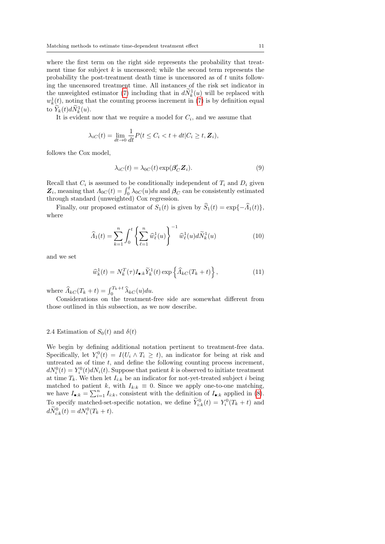where the first term on the right side represents the probability that treatment time for subject  $k$  is uncensored; while the second term represents the probability the post-treatment death time is uncensored as of t units following the uncensored treatment time. All instances of the risk set indicator in the unweighted estimator [\(7\)](#page-9-0) including that in  $d\tilde{N}_k^1(u)$  will be replaced with  $w_k^1(t)$ , noting that the counting process increment in [\(7\)](#page-9-0) is by definition equal to  $\widetilde{Y}_k(t)d\widetilde{N}_k^1(u)$ .

It is evident now that we require a model for  $C_i$ , and we assume that

$$
\lambda_{iC}(t) = \lim_{dt \to 0} \frac{1}{dt} P(t \le C_i < t + dt | C_i \ge t, \mathbf{Z}_i),
$$

follows the Cox model,

$$
\lambda_{iC}(t) = \lambda_{0C}(t) \exp(\beta'_C \mathbf{Z}_i). \tag{9}
$$

Recall that  $C_i$  is assumed to be conditionally independent of  $T_i$  and  $D_i$  given  $\mathbf{Z}_i$ , meaning that  $\Lambda_{0C}(t) = \int_0^t \lambda_{0C}(u) du$  and  $\mathbf{A}_C$  can be consistently estimated through standard (unweighted) Cox regression.

Finally, our proposed estimator of  $S_1(t)$  is given by  $\widehat{S}_1(t) = \exp\{-\widehat{A}_1(t)\},$ where

$$
\widehat{\Lambda}_1(t) = \sum_{k=1}^n \int_0^t \left\{ \sum_{\ell=1}^n \widehat{w}_{\ell}^1(u) \right\}^{-1} \widehat{w}_{\ell}^1(u) d\widetilde{N}_k^1(u) \tag{10}
$$

and we set

$$
\widehat{w}_k^1(t) = N_k^T(\tau) I_{\bullet:k} \widetilde{Y}_k^1(t) \exp\left\{\widehat{A}_{kC}(T_k+t)\right\},\tag{11}
$$

where  $\widehat{\Lambda}_{kC}(T_k+t) = \int_0^{T_k+t} \widehat{\lambda}_{kC}(u)du$ .

Considerations on the treatment-free side are somewhat different from those outlined in this subsection, as we now describe.

## 2.4 Estimation of  $S_0(t)$  and  $\delta(t)$

We begin by defining additional notation pertinent to treatment-free data. Specifically, let  $Y_i^0(t) = I(U_i \wedge T_i \geq t)$ , an indicator for being at risk and untreated as of time  $t$ , and define the following counting process increment,  $dN_i^0(t) = Y_i^0(t)dN_i(t)$ . Suppose that patient k is observed to initiate treatment at time  $T_k$ . We then let  $I_{i:k}$  be an indicator for not-yet-treated subject i being matched to patient k, with  $I_{k:k} \equiv 0$ . Since we apply one-to-one matching, we have  $I_{\bullet:k} = \sum_{i=1}^n I_{i:k}$ , consistent with the definition of  $I_{\bullet:k}$  applied in [\(8\)](#page-9-1). To specify matched-set-specific notation, we define  $\widetilde{Y}_{i:k}^0(t) = Y_i^0(T_k + t)$  and  $d\widetilde{N}_{i:k}^0(t) = dN_i^0(T_k + t).$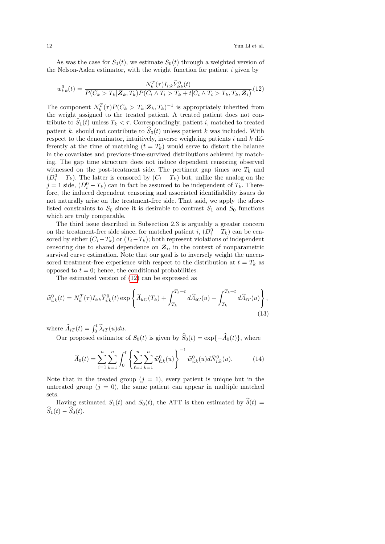As was the case for  $S_1(t)$ , we estimate  $S_0(t)$  through a weighted version of the Nelson-Aalen estimator, with the weight function for patient  $i$  given by

<span id="page-11-0"></span>
$$
w_{i:k}^0(t) = \frac{N_k^T(\tau)I_{i:k}\tilde{Y}_{i:k}^0(t)}{P(C_k > T_k | \mathbf{Z}_k, T_k)P(C_i \wedge T_i > T_k + t | C_i \wedge T_i > T_k, T_k, \mathbf{Z}_i)} (12)
$$

The component  $N_k^T(\tau)P(C_k > T_k | \mathbf{Z}_k, T_k)^{-1}$  is appropriately inherited from the weight assigned to the treated patient. A treated patient does not contribute to  $\hat{S}_1(t)$  unless  $T_k < \tau$ . Correspondingly, patient i, matched to treated patient k, should not contribute to  $\hat{S}_0(t)$  unless patient k was included. With respect to the denominator, intuitively, inverse weighting patients  $i$  and  $k$  differently at the time of matching  $(t = T_k)$  would serve to distort the balance in the covariates and previous-time-survived distributions achieved by matching. The gap time structure does not induce dependent censoring observed witnessed on the post-treatment side. The pertinent gap times are  $T_k$  and  $(D_i^0 - T_k)$ . The latter is censored by  $(C_i - T_k)$  but, unlike the analog on the  $j = 1$  side,  $(D_i^0 - T_k)$  can in fact be assumed to be independent of  $T_k$ . Therefore, the induced dependent censoring and associated identifiability issues do not naturally arise on the treatment-free side. That said, we apply the aforelisted constraints to  $S_0$  since it is desirable to contrast  $S_1$  and  $S_0$  functions which are truly comparable.

The third issue described in Subsection 2.3 is arguably a greater concern on the treatment-free side since, for matched patient i,  $(D_i^0 - T_k)$  can be censored by either  $(C_i - T_k)$  or  $(T_i - T_k)$ ; both represent violations of independent censoring due to shared dependence on  $\mathbf{Z}_i$ , in the context of nonparametric survival curve estimation. Note that our goal is to inversely weight the uncensored treatment-free experience with respect to the distribution at  $t = T_k$  as opposed to  $t = 0$ ; hence, the conditional probabilities.

The estimated version of [\(12\)](#page-11-0) can be expressed as

$$
\widehat{w}_{i:k}^{0}(t) = N_{k}^{T}(\tau)I_{i:k}\widetilde{Y}_{i:k}^{0}(t)\exp\left\{\widehat{\Lambda}_{kC}(T_{k}) + \int_{T_{k}}^{T_{k}+t} d\widehat{\Lambda}_{iC}(u) + \int_{T_{k}}^{T_{k}+t} d\widehat{\Lambda}_{iT}(u)\right\},\tag{13}
$$

where  $\widehat{\Lambda}_{iT}(t) = \int_0^t \widehat{\lambda}_{iT}(u) du$ .

Our proposed estimator of  $S_0(t)$  is given by  $\widehat{S}_0(t) = \exp\{-\widehat{\Lambda}_0(t)\}\,$ , where

$$
\widehat{\Lambda}_0(t) = \sum_{i=1}^n \sum_{k=1}^n \int_0^t \left\{ \sum_{\ell=1}^n \sum_{k=1}^n \widehat{w}_{\ell,k}^0(u) \right\}^{-1} \widehat{w}_{i:k}^0(u) d\widetilde{N}_{i:k}^0(u). \tag{14}
$$

Note that in the treated group  $(j = 1)$ , every patient is unique but in the untreated group  $(j = 0)$ , the same patient can appear in multiple matched sets.

Having estimated  $S_1(t)$  and  $S_0(t)$ , the ATT is then estimated by  $\hat{\delta}(t)$  =  $\widehat{S}_1(t) - \widehat{S}_0(t).$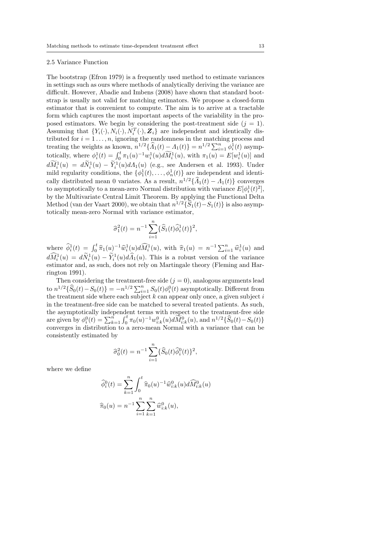#### 2.5 Variance Function

The bootstrap (Efron 1979) is a frequently used method to estimate variances in settings such as ours where methods of analytically deriving the variance are difficult. However, Abadie and Imbens (2008) have shown that standard bootstrap is usually not valid for matching estimators. We propose a closed-form estimator that is convenient to compute. The aim is to arrive at a tractable form which captures the most important aspects of the variability in the proposed estimators. We begin by considering the post-treatment side  $(j = 1)$ . Assuming that  $\{Y_i(\cdot), N_i(\cdot), N_i^T(\cdot), \mathbf{Z}_i\}$  are independent and identically distributed for  $i = 1, \ldots, n$ , ignoring the randomness in the matching process and treating the weights as known,  $n^{1/2} {\hat{A}_1(t) - A_1(t)} = n^{1/2} \sum_{i=1}^n \phi_i^1(t)$  asymptotically, where  $\phi_i^1(t) = \int_0^t \pi_1(u)^{-1} w_i^1(u) d\widetilde{M}_i^1(u)$ , with  $\pi_1(u) = E[w_i^1(u)]$  and  $dM_i^1(u) = dN_i^1(u) - Y_i^1(u)dA_1(u)$  (e.g., see Andersen et al. 1993). Under mild regularity conditions, the  $\{\phi_1^1(t), \ldots, \phi_n^1(t)\}\$  are independent and identically distributed mean 0 variates. As a result,  $n^{1/2}{\{\hat{A}_1(t) - A_1(t)\}}$  converges to asymptotically to a mean-zero Normal distribution with variance  $E[\phi_i^1(t)^2]$ , by the Multivariate Central Limit Theorem. By applying the Functional Delta Method (van der Vaart 2000), we obtain that  $n^{1/2}\{\widehat{S}_1(t)-S_1(t)\}\)$  is also asymptotically mean-zero Normal with variance estimator,

$$
\widehat{\sigma}_1^2(t) = n^{-1} \sum_{i=1}^n \{ \widehat{S}_1(t) \widehat{\phi}_i^1(t) \}^2,
$$

where  $\hat{\phi}_i^1(t) = \int_0^t \hat{\pi}_1(u)^{-1} \hat{w}_i^1(u) d\hat{M}_i^1(u)$ , with  $\hat{\pi}_1(u) = n^{-1} \sum_{i=1}^n \hat{w}_i^1(u)$  and  $d\widehat{M}_i^1(u) = d\widetilde{N}_i^1(u) - \widetilde{Y}_i^1(u)d\widehat{A}_1(u)$ . This is a robust version of the variance estimator and, as such, does not rely on Martingale theory (Fleming and Harrington 1991).

Then considering the treatment-free side  $(j = 0)$ , analogous arguments lead to  $n^{1/2}\{\widehat{S}_0(t)-S_0(t)\} = -n^{1/2}\sum_{i=1}^n S_0(t)\phi_i^0(t)$  asymptotically. Different from the treatment side where each subject  $k$  can appear only once, a given subject  $i$ in the treatment-free side can be matched to several treated patients. As such, the asymptotically independent terms with respect to the treatment-free side are given by  $\phi_i^0(t) = \sum_{k=1}^n \int_0^t \pi_0(u)^{-1} w_{i:k}^0(u) d\widetilde{M}_{i:k}^0(u)$ , and  $n^{1/2} {\{\widehat{S}_0(t) - S_0(t)\}}$ <br>converges in distribution to a zero-mean Normal with a variance that can be consistently estimated by

$$
\widehat{\sigma}_0^2(t) = n^{-1} \sum_{i=1}^n \{\widehat{S}_0(t)\widehat{\phi}_i^0(t)\}^2,
$$

where we define

$$
\widehat{\phi}_i^0(t) = \sum_{k=1}^n \int_0^t \widehat{\pi}_0(u)^{-1} \widehat{w}_{i:k}^0(u) d\widehat{M}_{i:k}^0(u)
$$

$$
\widehat{\pi}_0(u) = n^{-1} \sum_{i=1}^n \sum_{k=1}^n \widehat{w}_{i:k}^0(u),
$$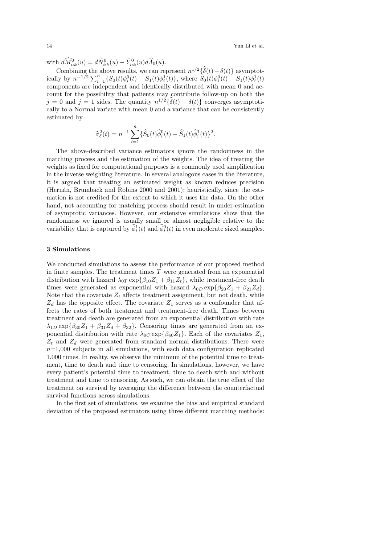with  $d\widehat{M}_{i:k}^0(u) = d\widetilde{N}_{i:k}^0(u) - \widetilde{Y}_{i:k}^0(u)d\widehat{A}_0(u)$ .

Combining the above results, we can represent  $n^{1/2}\{\hat{\delta}(t) - \delta(t)\}$  asymptotically by  $n^{-1/2} \sum_{i=1}^{n} \{ S_0(t) \phi_i^0(t) - S_1(t) \phi_i^1(t) \}$ , where  $S_0(t) \phi_i^0(t) - S_1(t) \phi_i^1(t)$ components are independent and identically distributed with mean 0 and account for the possibility that patients may contribute follow-up on both the  $j = 0$  and  $j = 1$  sides. The quantity  $n^{1/2}\{\delta(t) - \delta(t)\}\)$  converges asymptotically to a Normal variate with mean 0 and a variance that can be consistently estimated by

$$
\widehat{\sigma}_{\delta}^{2}(t) = n^{-1} \sum_{i=1}^{n} \{\widehat{S}_{0}(t)\widehat{\phi}_{i}^{0}(t) - \widehat{S}_{1}(t)\widehat{\phi}_{i}^{1}(t)\}^{2}.
$$

The above-described variance estimators ignore the randomness in the matching process and the estimation of the weights. The idea of treating the weights as fixed for computational purposes is a commonly used simplification in the inverse weighting literature. In several analogous cases in the literature, it is argued that treating an estimated weight as known reduces precision (Hernán, Brumback and Robins 2000 and 2001); heuristically, since the estimation is not credited for the extent to which it uses the data. On the other hand, not accounting for matching process should result in under-estimation of asymptotic variances. However, our extensive simulations show that the randomness we ignored is usually small or almost negligible relative to the variability that is captured by  $\hat{\phi}_i^1(t)$  and  $\hat{\phi}_i^0(t)$  in even moderate sized samples.

#### 3 Simulations

We conducted simulations to assess the performance of our proposed method in finite samples. The treatment times  $T$  were generated from an exponential distribution with hazard  $\lambda_{0T} \exp{\{\beta_{10} Z_1 + \beta_{11} Z_t\}}$ , while treatment-free death times were generated as exponential with hazard  $\lambda_{0D} \exp{\beta_{20} Z_1 + \beta_{21} Z_d}$ . Note that the covariate  $Z_t$  affects treatment assignment, but not death, while  $Z_d$  has the opposite effect. The covariate  $Z_1$  serves as a confounder that affects the rates of both treatment and treatment-free death. Times between treatment and death are generated from an exponential distribution with rate  $\lambda_{1D} \exp{\beta_{30} Z_1 + \beta_{31} Z_d + \beta_{32}}$ . Censoring times are generated from an exponential distribution with rate  $\lambda_{0C} \exp{\{\beta_{40} Z_1\}}$ . Each of the covariates  $Z_1$ ,  $Z_t$  and  $Z_d$  were generated from standard normal distributions. There were  $n=1,000$  subjects in all simulations, with each data configuration replicated 1,000 times. In reality, we observe the minimum of the potential time to treatment, time to death and time to censoring. In simulations, however, we have every patient's potential time to treatment, time to death with and without treatment and time to censoring. As such, we can obtain the true effect of the treatment on survival by averaging the difference between the counterfactual survival functions across simulations.

In the first set of simulations, we examine the bias and empirical standard deviation of the proposed estimators using three different matching methods: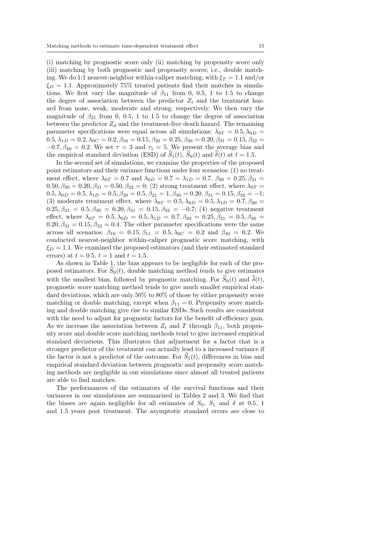(i) matching by prognostic score only (ii) matching by propensity score only (iii) matching by both prognostic and propensity scores; i.e., double matching. We do 1:1 nearest-neighbor within-caliper matching, with  $\xi_T = 1.1$  and/or  $\xi_D = 1.1$ . Approximately 75% treated patients find their matches in simulations. We first vary the magnitude of  $\beta_{11}$  from 0, 0.5, 1 to 1.5 to change the degree of association between the predictor  $Z_t$  and the treatment hazard from none, weak, moderate and strong, respectively. We then vary the magnitude of  $\beta_{21}$  from 0, 0.5, 1 to 1.5 to change the degree of association between the predictor  $Z_d$  and the treatment-free death hazard. The remaining parameter specifications were equal across all simulations:  $\lambda_{0T} = 0.5, \lambda_{0D} =$  $0.5, \lambda_{1D} = 0.2, \lambda_{0C} = 0.2, \beta_{10} = 0.15, \beta_{20} = 0.25, \beta_{30} = 0.20, \beta_{31} = 0.15, \beta_{32} =$  $-0.7, \beta_{40} = 0.2$ . We set  $\tau = 3$  and  $\tau_1 = 5$ . We present the average bias and the empirical standard deviation (ESD) of  $\widehat{S}_1(t)$ ,  $\widehat{S}_0(t)$  and  $\widehat{\delta}(t)$  at  $t = 1.5$ .

In the second set of simulations, we examine the properties of the proposed point estimators and their variance functions under four scenarios: (1) no treatment effect, where  $\lambda_{0T} = 0.7$  and  $\lambda_{0D} = 0.7 = \lambda_{1D} = 0.7$ ,  $\beta_{20} = 0.25, \beta_{21} =$  $0.50, \beta_{30} = 0.20, \beta_{31} = 0.50, \beta_{32} = 0$ ; (2) strong treatment effect, where  $\lambda_{0T} =$  $0.5, \lambda_{0D} = 0.5, \lambda_{1D} = 0.5, \beta_{20} = 0.5, \beta_{21} = 1, \beta_{30} = 0.20, \beta_{31} = 0.15, \beta_{32} = -1;$ (3) moderate treatment effect, where  $\lambda_{0T} = 0.5, \lambda_{0D} = 0.5, \lambda_{1D} = 0.7, \beta_{20} = 0.7$  $0.25, \beta_{21} = 0.5, \beta_{30} = 0.20, \beta_{31} = 0.15, \beta_{32} = -0.7;$  (4) negative treatment effect, where  $\lambda_{0T} = 0.5, \lambda_{0D} = 0.5, \lambda_{1D} = 0.7, \beta_{20} = 0.25, \beta_{21} = 0.5, \beta_{30} = 0.5$  $0.20, \beta_{31} = 0.15, \beta_{32} = 0.4$ . The other parameter specifications were the same across all scenarios:  $\beta_{10} = 0.15, \beta_{11} = 0.5, \lambda_{0C} = 0.2$  and  $\beta_{40} = 0.2$ . We conducted nearest-neighbor within-caliper prognostic score matching, with  $\xi_D = 1.1$ . We examined the proposed estimators (and their estimated standard errors) at  $t = 0.5$ ,  $t = 1$  and  $t = 1.5$ .

As shown in Table 1, the bias appears to be negligible for each of the proposed estimators. For  $S_0(t)$ , double matching method tends to give estimates with the smallest bias, followed by prognostic matching. For  $\widehat{S}_0(t)$  and  $\widehat{\delta}(t)$ , prognostic score matching method tends to give much smaller empirical standard deviations, which are only 50% to 80% of those by either propensity score matching or double matching, except when  $\beta_{11} = 0$ . Propensity score matching and double matching give rise to similar ESDs. Such results are consistent with the need to adjust for prognostic factors for the benefit of efficiency gain. As we increase the association between  $Z_t$  and T through  $\beta_{11}$ , both propensity score and double score matching methods tend to give increased empirical standard deviations. This illustrates that adjustment for a factor that is a stronger predictor of the treatment can actually lead to a increased variance if the factor is not a predictor of the outcome. For  $S_1(t)$ , differences in bias and empirical standard deviation between prognostic and propensity score matching methods are negligible in our simulations since almost all treated patients are able to find matches.

The performances of the estimators of the survival functions and their variances in our simulations are summarized in Tables 2 and 3. We find that the biases are again negligible for all estimates of  $S_0$ ,  $S_1$  and  $\delta$  at 0.5, 1 and 1.5 years post treatment. The asymptotic standard errors are close to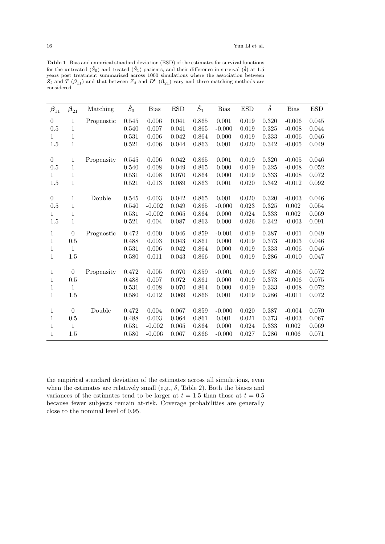Table 1 Bias and empirical standard deviation (ESD) of the estimates for survival functions for the untreated  $(\hat{S}_0)$  and treated  $(\hat{S}_1)$  patients, and their difference in survival  $(\hat{\delta})$  at 1.5 years post treatment summarized across 1000 simulations where the association between  $Z_t$  and T  $(\beta_{11})$  and that between  $Z_d$  and  $D^0$   $(\beta_{21})$  vary and three matching methods are considered

| $\theta$<br>0.545<br>0.006<br>0.041<br>0.865<br>0.001<br>0.019<br>0.320<br>$-0.006$<br>$\mathbf{1}$<br>Prognostic<br>$\mathbf{1}$<br>0.5<br>$0.325\,$<br>0.540<br>0.007<br>0.041<br>0.865<br>$-0.000$<br>0.019<br>$-0.008$<br>$\mathbf 1$<br>0.531<br>0.042<br>0.864<br>0.333<br>0.006<br>0.000<br>0.019<br>$-0.006$<br>1<br>$\overline{1}$<br>1.5<br>0.521<br>0.006<br>0.044<br>0.863<br>0.001<br>0.020<br>0.342<br>$-0.005$ | 0.045<br>0.044<br>0.046<br>0.049<br>0.046<br>0.052<br>0.072<br>0.092 |
|-------------------------------------------------------------------------------------------------------------------------------------------------------------------------------------------------------------------------------------------------------------------------------------------------------------------------------------------------------------------------------------------------------------------------------|----------------------------------------------------------------------|
|                                                                                                                                                                                                                                                                                                                                                                                                                               |                                                                      |
|                                                                                                                                                                                                                                                                                                                                                                                                                               |                                                                      |
|                                                                                                                                                                                                                                                                                                                                                                                                                               |                                                                      |
|                                                                                                                                                                                                                                                                                                                                                                                                                               |                                                                      |
|                                                                                                                                                                                                                                                                                                                                                                                                                               |                                                                      |
| 0.006<br>0.042<br>0.865<br>0.001<br>0.019<br>0.320<br>$\boldsymbol{0}$<br>$\mathbf{1}$<br>0.545<br>$-0.005$<br>Propensity                                                                                                                                                                                                                                                                                                     |                                                                      |
| $\mathbf 1$<br>0.5<br>0.540<br>0.008<br>0.049<br>0.865<br>0.000<br>0.019<br>0.325<br>$-0.008$                                                                                                                                                                                                                                                                                                                                 |                                                                      |
| $\mathbf 1$<br>0.531<br>0.008<br>0.070<br>0.864<br>0.000<br>0.019<br>0.333<br>$-0.008$<br>1                                                                                                                                                                                                                                                                                                                                   |                                                                      |
| $\overline{1}$<br>0.521<br>1.5<br>0.013<br>0.089<br>0.863<br>0.001<br>0.020<br>0.342<br>$-0.012$                                                                                                                                                                                                                                                                                                                              |                                                                      |
|                                                                                                                                                                                                                                                                                                                                                                                                                               |                                                                      |
| 1<br>Double<br>0.545<br>0.003<br>0.042<br>0.865<br>0.001<br>0.020<br>0.320<br>$\boldsymbol{0}$<br>$-0.003$                                                                                                                                                                                                                                                                                                                    | 0.046                                                                |
| $\mathbf{1}$<br>0.5<br>0.540<br>$-0.002$<br>0.049<br>0.865<br>$-0.000$<br>0.023<br>0.325<br>0.002                                                                                                                                                                                                                                                                                                                             | 0.054                                                                |
| $\mathbf 1$<br>0.531<br>$-0.002$<br>0.065<br>0.864<br>0.000<br>0.024<br>0.333<br>0.002<br>1                                                                                                                                                                                                                                                                                                                                   | 0.069                                                                |
| $\mathbf 1$<br>0.521<br>1.5<br>0.004<br>0.087<br>0.863<br>0.000<br>0.026<br>0.342<br>$-0.003$                                                                                                                                                                                                                                                                                                                                 | 0.091                                                                |
| $\boldsymbol{0}$<br>0.472<br>0.000<br>0.046<br>0.859<br>0.019<br>0.387<br>$\mathbf{1}$<br>$-0.001$<br>$-0.001$<br>Prognostic                                                                                                                                                                                                                                                                                                  | 0.049                                                                |
| 0.488<br>0.003<br>0.043<br>0.861<br>0.000<br>0.019<br>0.373<br>$\mathbf{1}$<br>0.5<br>$-0.003$                                                                                                                                                                                                                                                                                                                                | 0.046                                                                |
| 1<br>$\mathbf{1}$<br>0.531<br>0.006<br>0.042<br>0.864<br>0.000<br>0.019<br>0.333<br>$-0.006$                                                                                                                                                                                                                                                                                                                                  | 0.046                                                                |
| $\mathbf{1}$<br>1.5<br>0.580<br>0.011<br>0.043<br>0.866<br>0.001<br>0.019<br>0.286<br>$-0.010$                                                                                                                                                                                                                                                                                                                                | 0.047                                                                |
|                                                                                                                                                                                                                                                                                                                                                                                                                               |                                                                      |
| $\boldsymbol{0}$<br>1<br>0.472<br>0.005<br>0.070<br>0.859<br>$-0.001$<br>0.019<br>0.387<br>$-0.006$<br>Propensity                                                                                                                                                                                                                                                                                                             | 0.072                                                                |
| $\mathbf{1}$<br>0.488<br>0.007<br>0.861<br>0.000<br>0.019<br>0.373<br>0.5<br>0.072<br>$-0.006$                                                                                                                                                                                                                                                                                                                                | 0.075                                                                |
| $\mathbf 1$<br>$\mathbf{1}$<br>0.531<br>0.008<br>0.070<br>0.864<br>0.000<br>0.019<br>0.333<br>$-0.008$                                                                                                                                                                                                                                                                                                                        | 0.072                                                                |
| $\mathbf{1}$<br>1.5<br>0.580<br>0.012<br>0.069<br>0.866<br>0.001<br>0.019<br>0.286<br>$-0.011$                                                                                                                                                                                                                                                                                                                                | 0.072                                                                |
|                                                                                                                                                                                                                                                                                                                                                                                                                               |                                                                      |
| $\boldsymbol{0}$<br>Double<br>0.472<br>0.004<br>0.067<br>0.859<br>$-0.000$<br>0.020<br>0.387<br>$-0.004$<br>1                                                                                                                                                                                                                                                                                                                 | 0.070                                                                |
| 0.003<br>0.001<br>0.373<br>$\mathbf{1}$<br>0.5<br>0.488<br>0.064<br>0.861<br>0.021<br>$-0.003$                                                                                                                                                                                                                                                                                                                                | 0.067                                                                |
| $\mathbf{1}$<br>$\mathbf{1}$<br>0.531<br>0.864<br>0.000<br>0.333<br>0.002<br>$-0.002$<br>0.065<br>0.024                                                                                                                                                                                                                                                                                                                       | 0.069                                                                |
| $\mathbf{1}$<br>1.5<br>0.580<br>$-0.006$<br>0.067<br>0.866<br>$-0.000$<br>0.027<br>0.286<br>0.006                                                                                                                                                                                                                                                                                                                             | 0.071                                                                |

the empirical standard deviation of the estimates across all simulations, even when the estimates are relatively small (e.g.,  $\delta$ , Table 2). Both the biases and variances of the estimates tend to be larger at  $t = 1.5$  than those at  $t = 0.5$ because fewer subjects remain at-risk. Coverage probabilities are generally close to the nominal level of 0.95.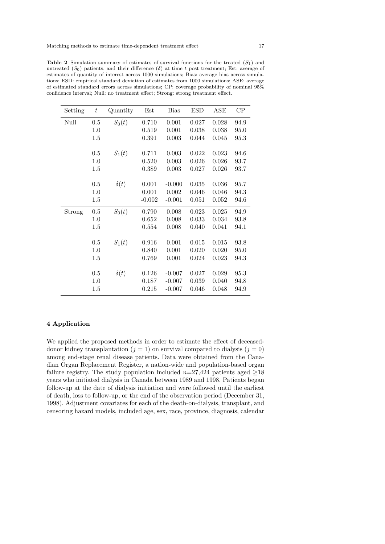| Setting | $\boldsymbol{t}$ | Quantity    | $_{\rm Est}$ | Bias     | <b>ESD</b> | ASE   | CP   |
|---------|------------------|-------------|--------------|----------|------------|-------|------|
| Null    | 0.5              | $S_0(t)$    | 0.710        | 0.001    | 0.027      | 0.028 | 94.9 |
|         | 1.0              |             | 0.519        | 0.001    | 0.038      | 0.038 | 95.0 |
|         | 1.5              |             | 0.391        | 0.003    | 0.044      | 0.045 | 95.3 |
|         | 0.5              | $S_1(t)$    | 0.711        | 0.003    | 0.022      | 0.023 | 94.6 |
|         | 1.0              |             | 0.520        | 0.003    | 0.026      | 0.026 | 93.7 |
|         | 1.5              |             | 0.389        | 0.003    | 0.027      | 0.026 | 93.7 |
|         | 0.5              | $\delta(t)$ | 0.001        | $-0.000$ | 0.035      | 0.036 | 95.7 |
|         | 1.0              |             | 0.001        | 0.002    | 0.046      | 0.046 | 94.3 |
|         | 1.5              |             | $-0.002$     | $-0.001$ | 0.051      | 0.052 | 94.6 |
| Strong  | 0.5              | $S_0(t)$    | 0.790        | 0.008    | 0.023      | 0.025 | 94.9 |
|         | 1.0              |             | 0.652        | 0.008    | 0.033      | 0.034 | 93.8 |
|         | 1.5              |             | 0.554        | 0.008    | 0.040      | 0.041 | 94.1 |
|         | 0.5              | $S_1(t)$    | 0.916        | 0.001    | 0.015      | 0.015 | 93.8 |
|         | 1.0              |             | 0.840        | 0.001    | 0.020      | 0.020 | 95.0 |
|         | 1.5              |             | 0.769        | 0.001    | 0.024      | 0.023 | 94.3 |
|         | 0.5              | $\delta(t)$ | 0.126        | $-0.007$ | 0.027      | 0.029 | 95.3 |
|         | 1.0              |             | 0.187        | $-0.007$ | 0.039      | 0.040 | 94.8 |
|         | 1.5              |             | 0.215        | $-0.007$ | 0.046      | 0.048 | 94.9 |

**Table 2** Simulation summary of estimates of survival functions for the treated  $(S_1)$  and untreated  $(S_0)$  patients, and their difference  $(\delta)$  at time t post treatment; Est: average of estimates of quantity of interest across 1000 simulations; Bias: average bias across simulations; ESD: empirical standard deviation of estimates from 1000 simulations; ASE: average of estimated standard errors across simulations; CP: coverage probability of nominal 95% confidence interval; Null: no treatment effect; Strong: strong treatment effect.

### 4 Application

We applied the proposed methods in order to estimate the effect of deceaseddonor kidney transplantation ( $j = 1$ ) on survival compared to dialysis ( $j = 0$ ) among end-stage renal disease patients. Data were obtained from the Canadian Organ Replacement Register, a nation-wide and population-based organ failure registry. The study population included  $n=27,424$  patients aged  $\geq 18$ years who initiated dialysis in Canada between 1989 and 1998. Patients began follow-up at the date of dialysis initiation and were followed until the earliest of death, loss to follow-up, or the end of the observation period (December 31, 1998). Adjustment covariates for each of the death-on-dialysis, transplant, and censoring hazard models, included age, sex, race, province, diagnosis, calendar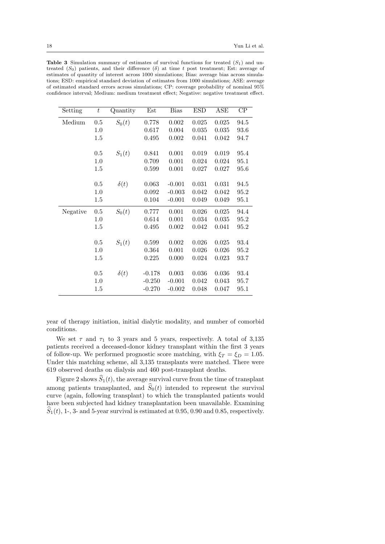| Setting  | $\bar{t}$ | Quantity    | Est      | <b>Bias</b> | <b>ESD</b> | <b>ASE</b>  | $\overline{CP}$ |
|----------|-----------|-------------|----------|-------------|------------|-------------|-----------------|
| Medium   | 0.5       | $S_0(t)$    | 0.778    | 0.002       | 0.025      | $\,0.025\,$ | 94.5            |
|          | 1.0       |             | 0.617    | 0.004       | 0.035      | 0.035       | 93.6            |
|          | 1.5       |             | 0.495    | 0.002       | 0.041      | 0.042       | 94.7            |
|          | 0.5       | $S_1(t)$    | 0.841    | 0.001       | 0.019      | 0.019       | 95.4            |
|          | 1.0       |             | 0.709    | 0.001       | 0.024      | 0.024       | 95.1            |
|          | 1.5       |             | 0.599    | 0.001       | 0.027      | 0.027       | 95.6            |
|          | 0.5       |             | 0.063    | $-0.001$    | 0.031      | 0.031       | 94.5            |
|          | 1.0       | $\delta(t)$ | 0.092    | $-0.003$    | 0.042      | 0.042       | 95.2            |
|          | 1.5       |             | 0.104    | $-0.001$    | 0.049      | 0.049       | 95.1            |
| Negative | 0.5       | $S_0(t)$    | 0.777    | 0.001       | 0.026      | 0.025       | 94.4            |
|          | 1.0       |             | 0.614    | 0.001       | 0.034      | 0.035       | 95.2            |
|          | $1.5\,$   |             | 0.495    | 0.002       | 0.042      | 0.041       | 95.2            |
|          | 0.5       | $S_1(t)$    | 0.599    | 0.002       | 0.026      | 0.025       | 93.4            |
|          | 1.0       |             | 0.364    | 0.001       | 0.026      | 0.026       | 95.2            |
|          | 1.5       |             | 0.225    | 0.000       | 0.024      | 0.023       | 93.7            |
|          | 0.5       | $\delta(t)$ | $-0.178$ | 0.003       | 0.036      | 0.036       | 93.4            |
|          | 1.0       |             | $-0.250$ | $-0.001$    | 0.042      | 0.043       | 95.7            |
|          | $1.5\,$   |             | $-0.270$ | $-0.002$    | 0.048      | 0.047       | 95.1            |

**Table 3** Simulation summary of estimates of survival functions for treated  $(S_1)$  and untreated  $(S_0)$  patients, and their difference  $(\delta)$  at time t post treatment; Est: average of estimates of quantity of interest across 1000 simulations; Bias: average bias across simulations; ESD: empirical standard deviation of estimates from 1000 simulations; ASE: average of estimated standard errors across simulations; CP: coverage probability of nominal 95% confidence interval; Medium: medium treatment effect; Negative: negative treatment effect.

year of therapy initiation, initial dialytic modality, and number of comorbid conditions.

We set  $\tau$  and  $\tau_1$  to 3 years and 5 years, respectively. A total of 3,135 patients received a deceased-donor kidney transplant within the first 3 years of follow-up. We performed prognostic score matching, with  $\xi_T = \xi_D = 1.05$ . Under this matching scheme, all 3,135 transplants were matched. There were 619 observed deaths on dialysis and 460 post-transplant deaths.

Figure 2 shows  $\widehat{S}_1(t)$ , the average survival curve from the time of transplant among patients transplanted, and  $\hat{S}_0(t)$  intended to represent the survival curve (again, following transplant) to which the transplanted patients would have been subjected had kidney transplantation been unavailable. Examining  $S_1(t)$ , 1-, 3- and 5-year survival is estimated at 0.95, 0.90 and 0.85, respectively.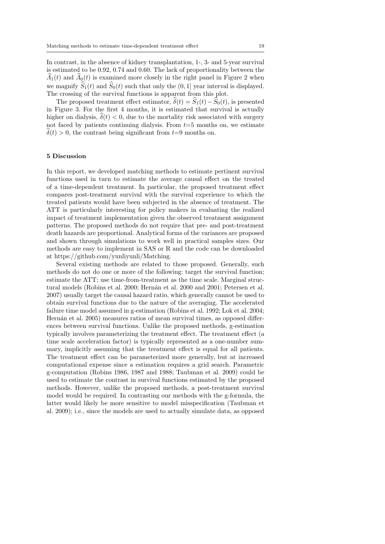In contrast, in the absence of kidney transplantation, 1-, 3- and 5-year survival is estimated to be 0.92, 0.74 and 0.60. The lack of proportionality between the  $\Lambda_1(t)$  and  $\Lambda_0(t)$  is examined more closely in the right panel in Figure 2 when we magnify  $\widehat{S}_1(t)$  and  $\widehat{S}_0(t)$  such that only the  $(0, 1]$  year interval is displayed. The crossing of the survival functions is apparent from this plot.

The proposed treatment effect estimator,  $\hat{\delta}(t) = \hat{S}_1(t) - \hat{S}_0(t)$ , is presented in Figure 3. For the first 4 months, it is estimated that survival is actually higher on dialysis,  $\delta(t) < 0$ , due to the mortality risk associated with surgery not faced by patients continuing dialysis. From  $t=5$  months on, we estimate  $\delta(t) > 0$ , the contrast being significant from  $t=9$  months on.

## 5 Discussion

In this report, we developed matching methods to estimate pertinent survival functions used in turn to estimate the average causal effect on the treated of a time-dependent treatment. In particular, the proposed treatment effect compares post-treatment survival with the survival experience to which the treated patients would have been subjected in the absence of treatment. The ATT is particularly interesting for policy makers in evaluating the realized impact of treatment implementation given the observed treatment assignment patterns. The proposed methods do not require that pre- and post-treatment death hazards are proportional. Analytical forms of the variances are proposed and shown through simulations to work well in practical samples sizes. Our methods are easy to implement in SAS or R and the code can be downloaded at https://github.com/yunliyunli/Matching.

Several existing methods are related to those proposed. Generally, such methods do not do one or more of the following: target the survival function; estimate the ATT; use time-from-treatment as the time scale. Marginal structural models (Robins et al. 2000; Hernán et al. 2000 and 2001; Petersen et al. 2007) usually target the causal hazard ratio, which generally cannot be used to obtain survival functions due to the nature of the averaging. The accelerated failure time model assumed in g-estimation (Robins et al. 1992; Lok et al. 2004; Hernán et al. 2005) measures ratios of mean survival times, as opposed differences between survival functions. Unlike the proposed methods, g-estimation typically involves parameterizing the treatment effect. The treatment effect (a time scale acceleration factor) is typically represented as a one-number summary, implicitly assuming that the treatment effect is equal for all patients. The treatment effect can be parameterized more generally, but at increased computational expense since a estimation requires a grid search. Parametric g-computation (Robins 1986, 1987 and 1988; Taubman et al. 2009) could be used to estimate the contrast in survival functions estimated by the proposed methods. However, unlike the proposed methods, a post-treatment survival model would be required. In contrasting our methods with the g-formula, the latter would likely be more sensitive to model misspecification (Taubman et al. 2009); i.e., since the models are used to actually simulate data, as opposed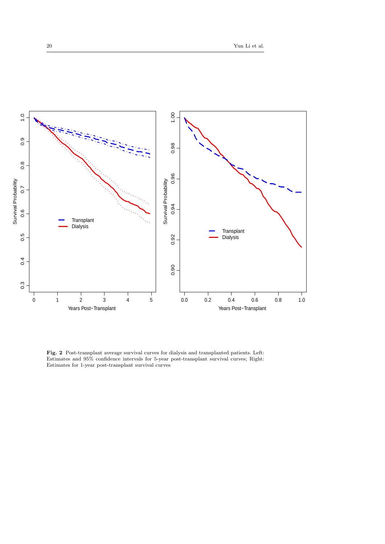

Fig. 2 Post-transplant average survival curves for dialysis and transplanted patients. Left: Estimates and 95% confidence intervals for 5-year post-transplant survival curves; Right: Estimates for 1-year post-transplant survival curves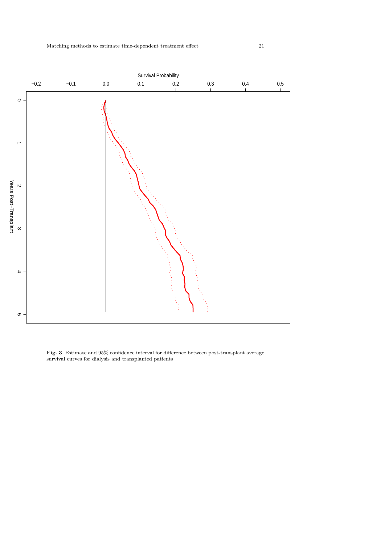

Fig. 3 Estimate and 95% confidence interval for difference between post-transplant average survival curves for dialysis and transplanted patients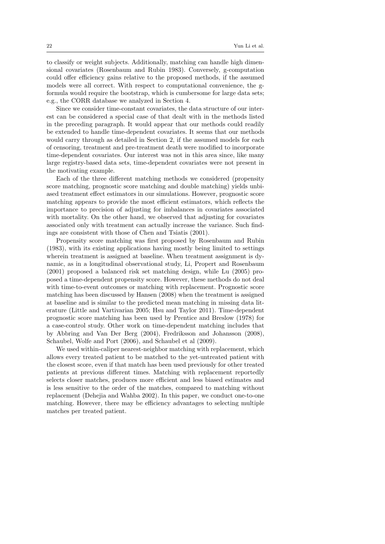to classify or weight subjects. Additionally, matching can handle high dimensional covariates (Rosenbaum and Rubin 1983). Conversely, g-computation could offer efficiency gains relative to the proposed methods, if the assumed models were all correct. With respect to computational convenience, the gformula would require the bootstrap, which is cumbersome for large data sets; e.g., the CORR database we analyzed in Section 4.

Since we consider time-constant covariates, the data structure of our interest can be considered a special case of that dealt with in the methods listed in the preceding paragraph. It would appear that our methods could readily be extended to handle time-dependent covariates. It seems that our methods would carry through as detailed in Section 2, if the assumed models for each of censoring, treatment and pre-treatment death were modified to incorporate time-dependent covariates. Our interest was not in this area since, like many large registry-based data sets, time-dependent covariates were not present in the motivating example.

Each of the three different matching methods we considered (propensity score matching, prognostic score matching and double matching) yields unbiased treatment effect estimators in our simulations. However, prognostic score matching appears to provide the most efficient estimators, which reflects the importance to precision of adjusting for imbalances in covariates associated with mortality. On the other hand, we observed that adjusting for covariates associated only with treatment can actually increase the variance. Such findings are consistent with those of Chen and Tsiatis (2001).

Propensity score matching was first proposed by Rosenbaum and Rubin (1983), with its existing applications having mostly being limited to settings wherein treatment is assigned at baseline. When treatment assignment is dynamic, as in a longitudinal observational study, Li, Propert and Rosenbaum (2001) proposed a balanced risk set matching design, while Lu (2005) proposed a time-dependent propensity score. However, these methods do not deal with time-to-event outcomes or matching with replacement. Prognostic score matching has been discussed by Hansen (2008) when the treatment is assigned at baseline and is similar to the predicted mean matching in missing data literature (Little and Vartivarian 2005; Hsu and Taylor 2011). Time-dependent prognostic score matching has been used by Prentice and Breslow (1978) for a case-control study. Other work on time-dependent matching includes that by Abbring and Van Der Berg (2004), Fredriksson and Johansson (2008), Schaubel, Wolfe and Port (2006), and Schaubel et al (2009).

We used within-caliper nearest-neighbor matching with replacement, which allows every treated patient to be matched to the yet-untreated patient with the closest score, even if that match has been used previously for other treated patients at previous different times. Matching with replacement reportedly selects closer matches, produces more efficient and less biased estimates and is less sensitive to the order of the matches, compared to matching without replacement (Dehejia and Wahba 2002). In this paper, we conduct one-to-one matching. However, there may be efficiency advantages to selecting multiple matches per treated patient.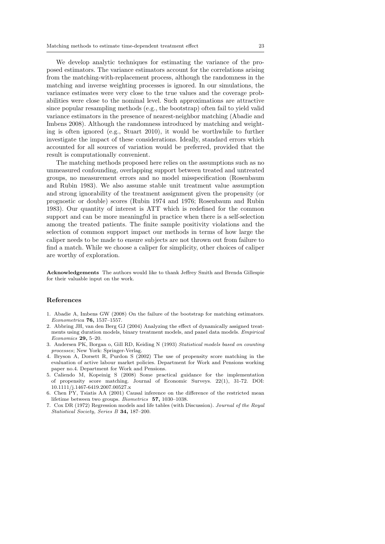We develop analytic techniques for estimating the variance of the proposed estimators. The variance estimators account for the correlations arising from the matching-with-replacement process, although the randomness in the matching and inverse weighting processes is ignored. In our simulations, the variance estimates were very close to the true values and the coverage probabilities were close to the nominal level. Such approximations are attractive since popular resampling methods (e.g., the bootstrap) often fail to yield valid variance estimators in the presence of nearest-neighbor matching (Abadie and Imbens 2008). Although the randomness introduced by matching and weighting is often ignored (e.g., Stuart 2010), it would be worthwhile to further investigate the impact of these considerations. Ideally, standard errors which accounted for all sources of variation would be preferred, provided that the result is computationally convenient.

The matching methods proposed here relies on the assumptions such as no unmeasured confounding, overlapping support between treated and untreated groups, no measurement errors and no model misspecification (Rosenbaum and Rubin 1983). We also assume stable unit treatment value assumption and strong ignorability of the treatment assignment given the propensity (or prognostic or double) scores (Rubin 1974 and 1976; Rosenbaum and Rubin 1983). Our quantity of interest is ATT which is redefined for the common support and can be more meaningful in practice when there is a self-selection among the treated patients. The finite sample positivity violations and the selection of common support impact our methods in terms of how large the caliper needs to be made to ensure subjects are not thrown out from failure to find a match. While we choose a caliper for simplicity, other choices of caliper are worthy of exploration.

Acknowledgements The authors would like to thank Jeffrey Smith and Brenda Gillespie for their valuable input on the work.

#### References

- 1. Abadie A, Imbens GW (2008) On the failure of the bootstrap for matching estimators. Econometrica 76, 1537–1557.
- 2. Abbring JH, van den Berg GJ (2004) Analyzing the effect of dynamically assigned treatments using duration models, binary treatment models, and panel data models. Empirical Economics 29, 5–20.
- 3. Andersen PK, Borgan o, Gill RD, Keiding N (1993) Statistical models based on counting processes; New York: Springer-Verlag.
- 4. Bryson A, Dorsett R, Purdon S (2002) The use of propensity score matching in the evaluation of active labour market policies. Department for Work and Pensions working paper no.4. Department for Work and Pensions.
- 5. Caliendo M, Kopeinig S (2008) Some practical guidance for the implementation of propensity score matching. Journal of Economic Surveys. 22(1), 31-72. DOI: 10.1111/j.1467-6419.2007.00527.x
- 6. Chen PY, Tsiatis AA (2001) Causal inference on the difference of the restricted mean lifetime between two groups. Biometrics 57, 1030–1038.
- 7. Cox DR (1972) Regression models and life tables (with Discussion). Journal of the Royal Statistical Society, Series B 34, 187–200.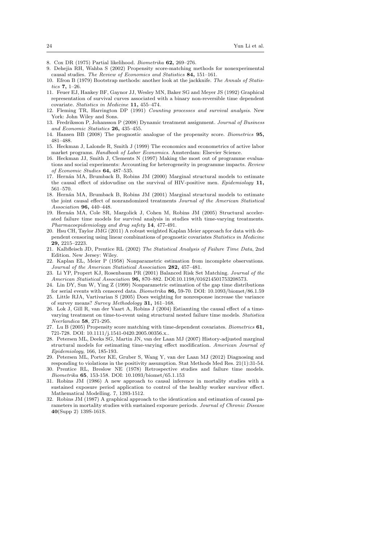- 8. Cox DR (1975) Partial likelihood. Biometrika 62, 269–276.
- 9. Dehejia RH, Wahba S (2002) Propensity score-matching methods for nonexperimental causal studies. The Review of Economics and Statistics 84, 151–161.
- 10. Efron B (1979) Bootstrap methods: another look at the jackknife. The Annals of Statistics 7, 1–26.
- 11. Feuer EJ, Hankey BF, Gaynor JJ, Wesley MN, Baker SG and Meyer JS (1992) Graphical representation of survival curves associated with a binary non-reversible time dependent covariate. Statistics in Medicine 11, 455–474.
- 12. Fleming TR, Harrington DP (1991) Counting processes and survival analysis. New York: John Wiley and Sons.
- 13. Fredriksson P, Johansson P (2008) Dynamic treatment assignment. Journal of Business and Economic Statistics 26, 435–455.
- 14. Hansen BB (2008) The prognostic analogue of the propensity score. Biometrics 95, 481–488.
- 15. Heckman J, Lalonde R, Smith J (1999) The economics and econometrics of active labor market programs. Handbook of Labor Economics. Amsterdam: Elsevier Science.
- 16. Heckman JJ, Smith J, Clements N (1997) Making the most out of programme evaluations and social experiments: Accounting for heterogeneity in programme impacts. Review of Economic Studies 64, 487–535.
- 17. Hernán MA, Brumback B, Robins JM (2000) Marginal structural models to estimate the causal effect of zidovudine on the survival of HIV-positive men. Epidemiology 11, 561–570.
- 18. Hernán MA, Brumback B, Robins JM (2001) Marginal structural models to estimate the joint causal effect of nonrandomized treatments Journal of the American Statistical Association 96, 440–448.
- 19. Hern´an MA, Cole SR, Margolick J, Cohen M, Robins JM (2005) Structural accelerated failure time models for survival analysis in studies with time-varying treatments. Pharmacoepidemiology and drug safety 14, 477-491.
- 20. Hsu CH, Taylor JMG (2011) A robust weighted Kaplan Meier approach for data with dependent censoring using linear combinations of prognostic covariates Statistics in Medicine 29, 2215–2223.
- 21. Kalbfleisch JD, Prentice RL (2002) The Statistical Analysis of Failure Time Data, 2nd Edition. New Jersey: Wiley.
- 22. Kaplan EL, Meier P (1958) Nonparametric estimation from incomplete observations. Journal of the American Statistical Association 282, 457–481.
- 23. Li YP, Propert KJ, Rosenbaum PR (2001) Balanced Risk Set Matching. Journal of the American Statistical Association 96, 870–882. DOI:10.1198/016214501753208573.
- 24. Lin DY, Sun W, Ying Z (1999) Nonparametric estimation of the gap time distributions for serial events with censored data. Biometrika 86, 59-70. DOI: 10.1093/biomet/86.1.59
- 25. Little RJA, Vartivarian S (2005) Does weighting for nonresponse increase the variance of survey means? Survey Methodology 31, 161–168.
- 26. Lok J, Gill R, van der Vaart A, Robins J (2004) Estiamting the causal effect of a timevarying treatment on time-to-event using structural nested failure time models. Statistica Neerlandica 58, 271-295.

27. Lu B (2005) Propensity score matching with time-dependent covariates. Biometrics  $61$ , 721-728. DOI: 10.1111/j.1541-0420.2005.00356.x..

- 28. Petersen ML, Deeks SG, Martin JN, van der Laan MJ (2007) History-adjusted marginal structural models for estimating time-varying effect modification. American Journal of Epidemiology, 166, 185-193.
- 29. Petersen ML, Porter KE, Gruber S, Wang Y, van der Laan MJ (2012) Diagnosing and responding to violations in the positivity assumption. Stat Methods Med Res. 21(1):31-54. 30. Prentice RL, Breslow NE (1978) Retrospective studies and failure time models.
- Biometrika 65, 153-158. DOI: 10.1093/biomet/65.1.153
- 31. Robins JM (1986) A new approach to causal inference in mortality studies with a sustained exposure period application to control of the healthy worker survivor effect. Mathematical Modelling. 7, 1393-1512.
- 32. Robins JM (1987) A graphical approach to the identication and estimation of causal parameters in mortality studies with sustained exposure periods. Journal of Chronic Disease 40(Supp 2) 139S-161S.